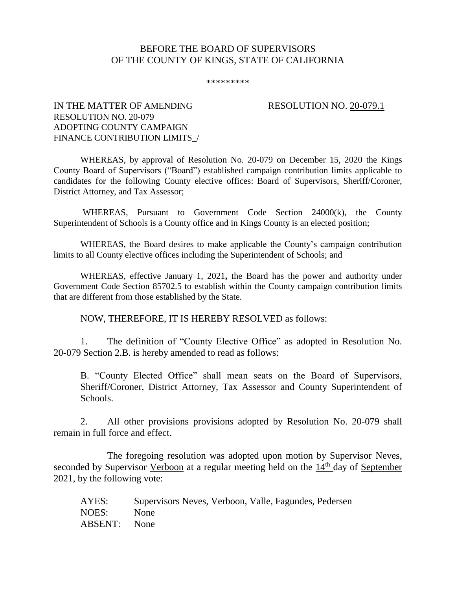## BEFORE THE BOARD OF SUPERVISORS OF THE COUNTY OF KINGS, STATE OF CALIFORNIA

\*\*\*\*\*\*\*\*\*

## IN THE MATTER OF AMENDING RESOLUTION NO. 20-079.1 RESOLUTION NO. 20-079 ADOPTING COUNTY CAMPAIGN FINANCE CONTRIBUTION LIMITS\_/

WHEREAS, by approval of Resolution No. 20-079 on December 15, 2020 the Kings County Board of Supervisors ("Board") established campaign contribution limits applicable to candidates for the following County elective offices: Board of Supervisors, Sheriff/Coroner, District Attorney, and Tax Assessor;

WHEREAS, Pursuant to Government Code Section 24000(k), the County Superintendent of Schools is a County office and in Kings County is an elected position;

WHEREAS, the Board desires to make applicable the County's campaign contribution limits to all County elective offices including the Superintendent of Schools; and

WHEREAS, effective January 1, 2021**,** the Board has the power and authority under Government Code Section 85702.5 to establish within the County campaign contribution limits that are different from those established by the State.

NOW, THEREFORE, IT IS HEREBY RESOLVED as follows:

1. The definition of "County Elective Office" as adopted in Resolution No. 20-079 Section 2.B. is hereby amended to read as follows:

B. "County Elected Office" shall mean seats on the Board of Supervisors, Sheriff/Coroner, District Attorney, Tax Assessor and County Superintendent of Schools.

2. All other provisions provisions adopted by Resolution No. 20-079 shall remain in full force and effect.

The foregoing resolution was adopted upon motion by Supervisor Neves, seconded by Supervisor Verboon at a regular meeting held on the 14<sup>th</sup> day of September 2021, by the following vote:

| AYES:               | Supervisors Neves, Verboon, Valle, Fagundes, Pedersen |
|---------------------|-------------------------------------------------------|
| NOES:               | None                                                  |
| <b>ABSENT:</b> None |                                                       |